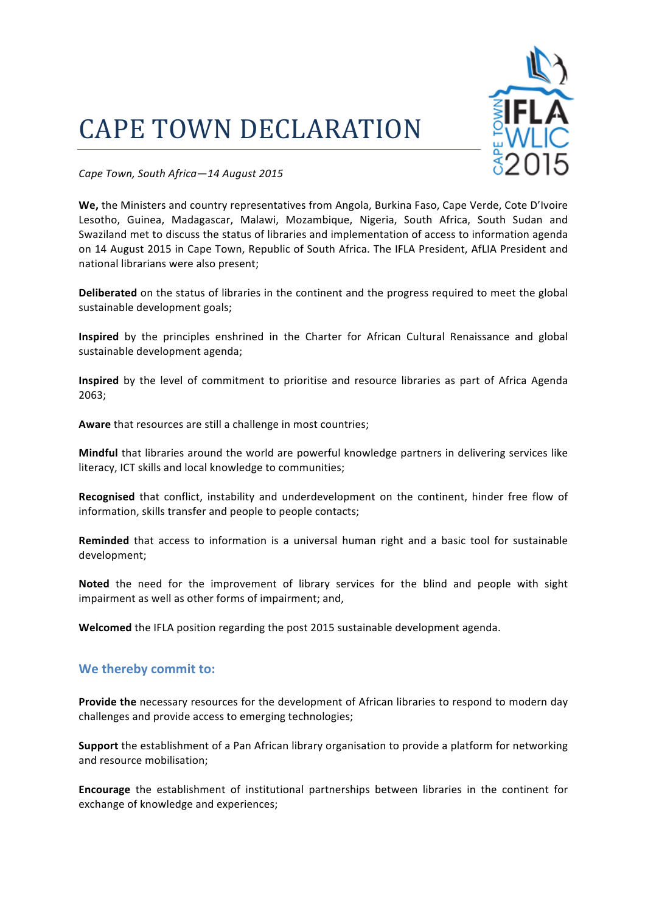## **CAPE TOWN DECLARATION**



*Cape Town, South Africa—14 August 2015*

We, the Ministers and country representatives from Angola, Burkina Faso, Cape Verde, Cote D'Ivoire Lesotho, Guinea, Madagascar, Malawi, Mozambique, Nigeria, South Africa, South Sudan and Swaziland met to discuss the status of libraries and implementation of access to information agenda on 14 August 2015 in Cape Town, Republic of South Africa. The IFLA President, AfLIA President and national librarians were also present;

**Deliberated** on the status of libraries in the continent and the progress required to meet the global sustainable development goals;

**Inspired** by the principles enshrined in the Charter for African Cultural Renaissance and global sustainable development agenda;

**Inspired** by the level of commitment to prioritise and resource libraries as part of Africa Agenda 2063;

**Aware** that resources are still a challenge in most countries;

**Mindful** that libraries around the world are powerful knowledge partners in delivering services like literacy, ICT skills and local knowledge to communities;

Recognised that conflict, instability and underdevelopment on the continent, hinder free flow of information, skills transfer and people to people contacts;

**Reminded** that access to information is a universal human right and a basic tool for sustainable development; 

**Noted** the need for the improvement of library services for the blind and people with sight impairment as well as other forms of impairment; and,

**Welcomed** the IFLA position regarding the post 2015 sustainable development agenda.

## We thereby commit to:

**Provide the** necessary resources for the development of African libraries to respond to modern day challenges and provide access to emerging technologies;

**Support** the establishment of a Pan African library organisation to provide a platform for networking and resource mobilisation;

**Encourage** the establishment of institutional partnerships between libraries in the continent for exchange of knowledge and experiences;